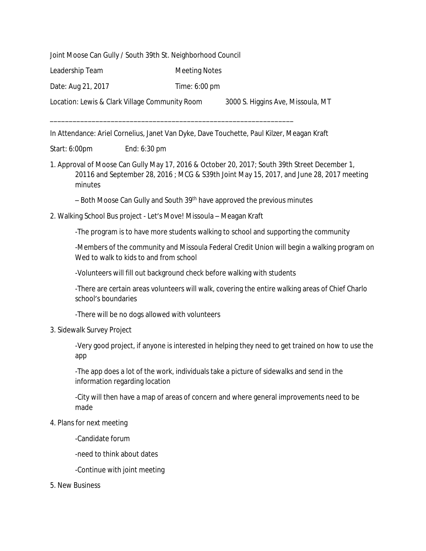Joint Moose Can Gully / South 39th St. Neighborhood Council

Leadership Team Meeting Notes

Date: Aug 21, 2017 Time: 6:00 pm

Location: Lewis & Clark Village Community Room 3000 S. Higgins Ave, Missoula, MT

\_\_\_\_\_\_\_\_\_\_\_\_\_\_\_\_\_\_\_\_\_\_\_\_\_\_\_\_\_\_\_\_\_\_\_\_\_\_\_\_\_\_\_\_\_\_\_\_\_\_\_\_\_\_\_\_\_\_\_\_\_\_\_\_

In Attendance: Ariel Cornelius, Janet Van Dyke, Dave Touchette, Paul Kilzer, Meagan Kraft

Start: 6:00pm End: 6:30 pm

1. Approval of Moose Can Gully May 17, 2016 & October 20, 2017; South 39th Street December 1, 20116 and September 28, 2016 ; MCG & S39th Joint May 15, 2017, and June 28, 2017 meeting minutes

– Both Moose Can Gully and South 39th have approved the previous minutes

2. Walking School Bus project - Let's Move! Missoula – Meagan Kraft

-The program is to have more students walking to school and supporting the community

-Members of the community and Missoula Federal Credit Union will begin a walking program on Wed to walk to kids to and from school

-Volunteers will fill out background check before walking with students

-There are certain areas volunteers will walk, covering the entire walking areas of Chief Charlo school's boundaries

-There will be no dogs allowed with volunteers

3. Sidewalk Survey Project

-Very good project, if anyone is interested in helping they need to get trained on how to use the app

-The app does a lot of the work, individuals take a picture of sidewalks and send in the information regarding location

-City will then have a map of areas of concern and where general improvements need to be made

- 4. Plans for next meeting
	- -Candidate forum
	- -need to think about dates
	- -Continue with joint meeting
- 5. New Business